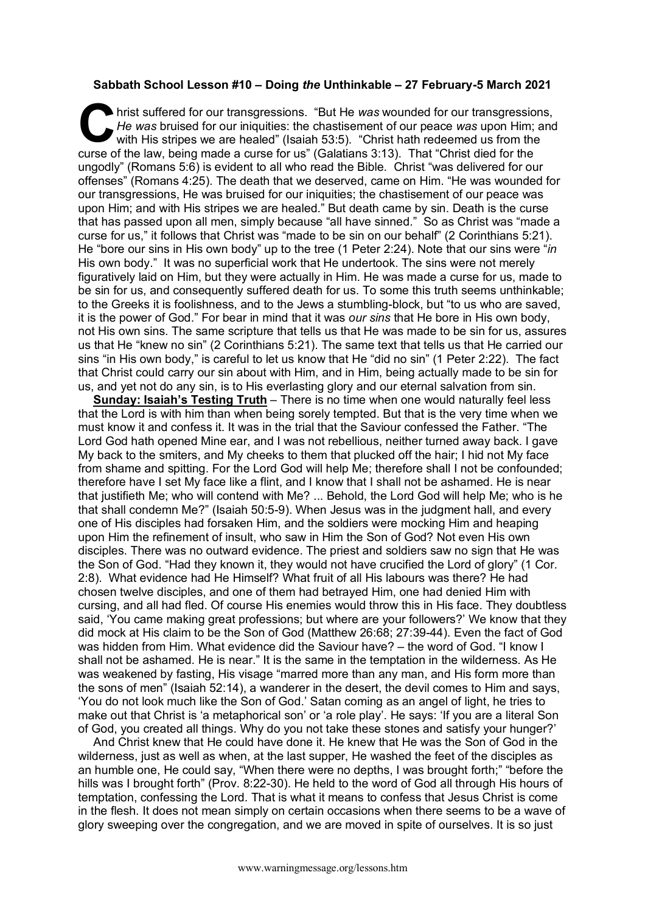## **Sabbath School Lesson #10 – Doing** *the* **Unthinkable – 27 February-5 March 2021**

hrist suffered for our transgressions. "But He *was* wounded for our transgressions, *He was* bruised for our iniquities: the chastisement of our peace *was* upon Him; and with His stripes we are healed" (Isaiah 53:5). "Christ hath redeemed us from the curse of the law, being made a curse for us" (Galatians 3:13). That "Christ died for the ungodly" (Romans 5:6) is evident to all who read the Bible. Christ "was delivered for our offenses" (Romans 4:25). The death that we deserved, came on Him. "He was wounded for our transgressions, He was bruised for our iniquities; the chastisement of our peace was upon Him; and with His stripes we are healed." But death came by sin. Death is the curse that has passed upon all men, simply because "all have sinned." So as Christ was "made a curse for us," it follows that Christ was "made to be sin on our behalf" (2 Corinthians 5:21). He "bore our sins in His own body" up to the tree (1 Peter 2:24). Note that our sins were "*in*  His own body." It was no superficial work that He undertook. The sins were not merely figuratively laid on Him, but they were actually in Him. He was made a curse for us, made to be sin for us, and consequently suffered death for us. To some this truth seems unthinkable; to the Greeks it is foolishness, and to the Jews a stumbling-block, but "to us who are saved, it is the power of God." For bear in mind that it was *our sins* that He bore in His own body, not His own sins. The same scripture that tells us that He was made to be sin for us, assures us that He "knew no sin" (2 Corinthians 5:21). The same text that tells us that He carried our sins "in His own body," is careful to let us know that He "did no sin" (1 Peter 2:22). The fact that Christ could carry our sin about with Him, and in Him, being actually made to be sin for us, and yet not do any sin, is to His everlasting glory and our eternal salvation from sin. C hris

**Sunday: Isaiah's Testing Truth** – There is no time when one would naturally feel less that the Lord is with him than when being sorely tempted. But that is the very time when we must know it and confess it. It was in the trial that the Saviour confessed the Father. "The Lord God hath opened Mine ear, and I was not rebellious, neither turned away back. I gave My back to the smiters, and My cheeks to them that plucked off the hair; I hid not My face from shame and spitting. For the Lord God will help Me; therefore shall I not be confounded; therefore have I set My face like a flint, and I know that I shall not be ashamed. He is near that justifieth Me; who will contend with Me? ... Behold, the Lord God will help Me; who is he that shall condemn Me?" (Isaiah 50:5-9). When Jesus was in the judgment hall, and every one of His disciples had forsaken Him, and the soldiers were mocking Him and heaping upon Him the refinement of insult, who saw in Him the Son of God? Not even His own disciples. There was no outward evidence. The priest and soldiers saw no sign that He was the Son of God. "Had they known it, they would not have crucified the Lord of glory" (1 Cor. 2:8). What evidence had He Himself? What fruit of all His labours was there? He had chosen twelve disciples, and one of them had betrayed Him, one had denied Him with cursing, and all had fled. Of course His enemies would throw this in His face. They doubtless said, 'You came making great professions; but where are your followers?' We know that they did mock at His claim to be the Son of God (Matthew 26:68; 27:39-44). Even the fact of God was hidden from Him. What evidence did the Saviour have? – the word of God. "I know I shall not be ashamed. He is near." It is the same in the temptation in the wilderness. As He was weakened by fasting, His visage "marred more than any man, and His form more than the sons of men" (Isaiah 52:14), a wanderer in the desert, the devil comes to Him and says, 'You do not look much like the Son of God.' Satan coming as an angel of light, he tries to make out that Christ is 'a metaphorical son' or 'a role play'. He says: 'If you are a literal Son of God, you created all things. Why do you not take these stones and satisfy your hunger?'

And Christ knew that He could have done it. He knew that He was the Son of God in the wilderness, just as well as when, at the last supper, He washed the feet of the disciples as an humble one, He could say, "When there were no depths, I was brought forth;" "before the hills was I brought forth" (Prov. 8:22-30). He held to the word of God all through His hours of temptation, confessing the Lord. That is what it means to confess that Jesus Christ is come in the flesh. It does not mean simply on certain occasions when there seems to be a wave of glory sweeping over the congregation, and we are moved in spite of ourselves. It is so just